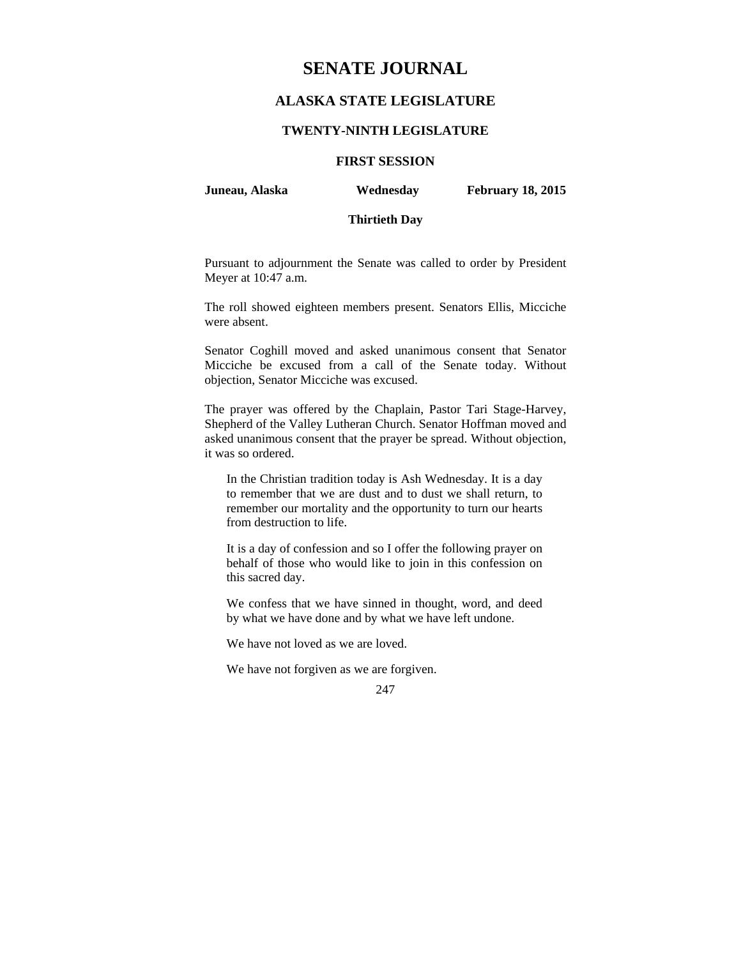# **SENATE JOURNAL**

## **ALASKA STATE LEGISLATURE**

#### **TWENTY-NINTH LEGISLATURE**

## **FIRST SESSION**

**Juneau, Alaska Wednesday February 18, 2015** 

## **Thirtieth Day**

Pursuant to adjournment the Senate was called to order by President Meyer at 10:47 a.m.

The roll showed eighteen members present. Senators Ellis, Micciche were absent.

Senator Coghill moved and asked unanimous consent that Senator Micciche be excused from a call of the Senate today. Without objection, Senator Micciche was excused.

The prayer was offered by the Chaplain, Pastor Tari Stage-Harvey, Shepherd of the Valley Lutheran Church. Senator Hoffman moved and asked unanimous consent that the prayer be spread. Without objection, it was so ordered.

In the Christian tradition today is Ash Wednesday. It is a day to remember that we are dust and to dust we shall return, to remember our mortality and the opportunity to turn our hearts from destruction to life.

It is a day of confession and so I offer the following prayer on behalf of those who would like to join in this confession on this sacred day.

We confess that we have sinned in thought, word, and deed by what we have done and by what we have left undone.

We have not loved as we are loved.

We have not forgiven as we are forgiven.

247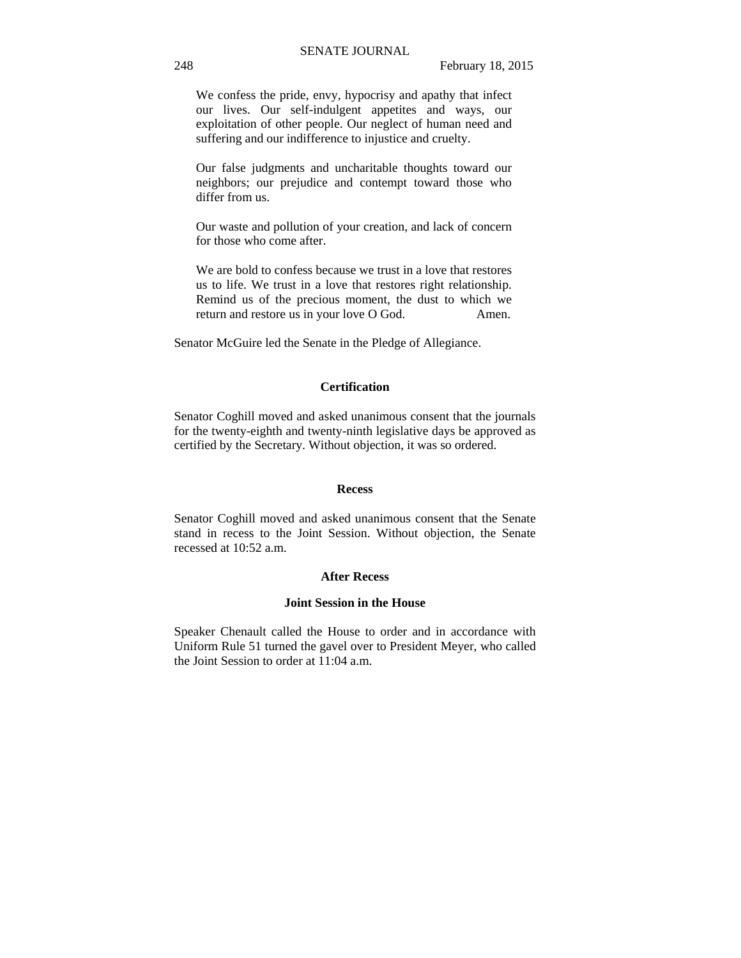We confess the pride, envy, hypocrisy and apathy that infect our lives. Our self-indulgent appetites and ways, our exploitation of other people. Our neglect of human need and suffering and our indifference to injustice and cruelty.

Our false judgments and uncharitable thoughts toward our neighbors; our prejudice and contempt toward those who differ from us.

Our waste and pollution of your creation, and lack of concern for those who come after.

We are bold to confess because we trust in a love that restores us to life. We trust in a love that restores right relationship. Remind us of the precious moment, the dust to which we return and restore us in your love O God. Amen.

Senator McGuire led the Senate in the Pledge of Allegiance.

#### **Certification**

Senator Coghill moved and asked unanimous consent that the journals for the twenty-eighth and twenty-ninth legislative days be approved as certified by the Secretary. Without objection, it was so ordered.

#### **Recess**

Senator Coghill moved and asked unanimous consent that the Senate stand in recess to the Joint Session. Without objection, the Senate recessed at 10:52 a.m.

#### **After Recess**

#### **Joint Session in the House**

Speaker Chenault called the House to order and in accordance with Uniform Rule 51 turned the gavel over to President Meyer, who called the Joint Session to order at 11:04 a.m.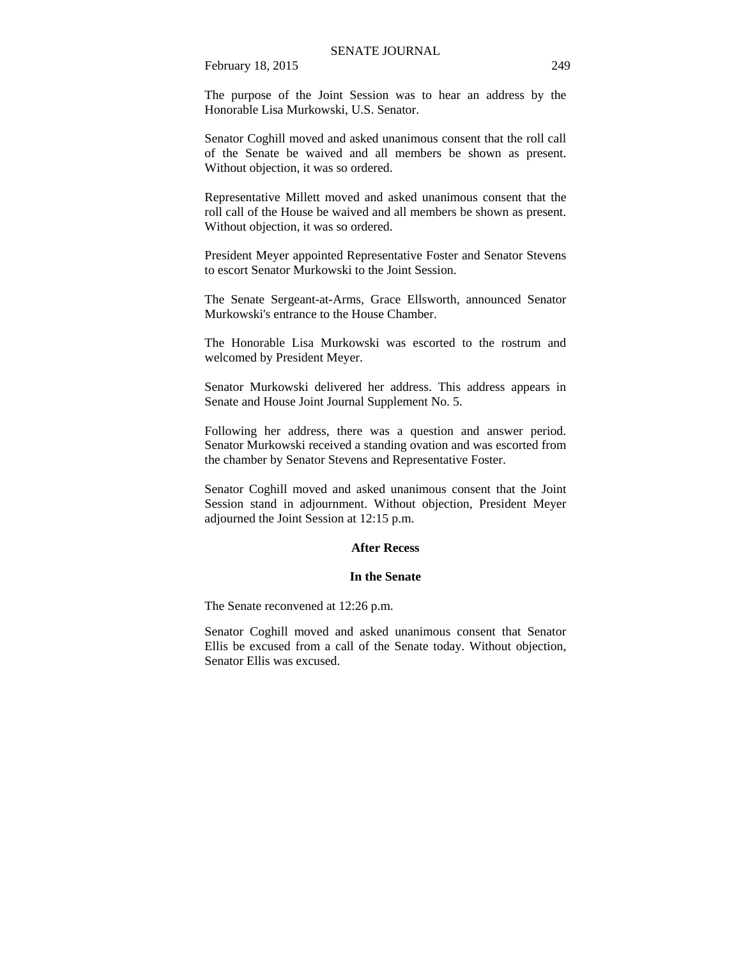The purpose of the Joint Session was to hear an address by the Honorable Lisa Murkowski, U.S. Senator.

Senator Coghill moved and asked unanimous consent that the roll call of the Senate be waived and all members be shown as present. Without objection, it was so ordered.

Representative Millett moved and asked unanimous consent that the roll call of the House be waived and all members be shown as present. Without objection, it was so ordered.

President Meyer appointed Representative Foster and Senator Stevens to escort Senator Murkowski to the Joint Session.

The Senate Sergeant-at-Arms, Grace Ellsworth, announced Senator Murkowski's entrance to the House Chamber.

The Honorable Lisa Murkowski was escorted to the rostrum and welcomed by President Meyer.

Senator Murkowski delivered her address. This address appears in Senate and House Joint Journal Supplement No. 5.

Following her address, there was a question and answer period. Senator Murkowski received a standing ovation and was escorted from the chamber by Senator Stevens and Representative Foster.

Senator Coghill moved and asked unanimous consent that the Joint Session stand in adjournment. Without objection, President Meyer adjourned the Joint Session at 12:15 p.m.

#### **After Recess**

#### **In the Senate**

The Senate reconvened at 12:26 p.m.

Senator Coghill moved and asked unanimous consent that Senator Ellis be excused from a call of the Senate today. Without objection, Senator Ellis was excused.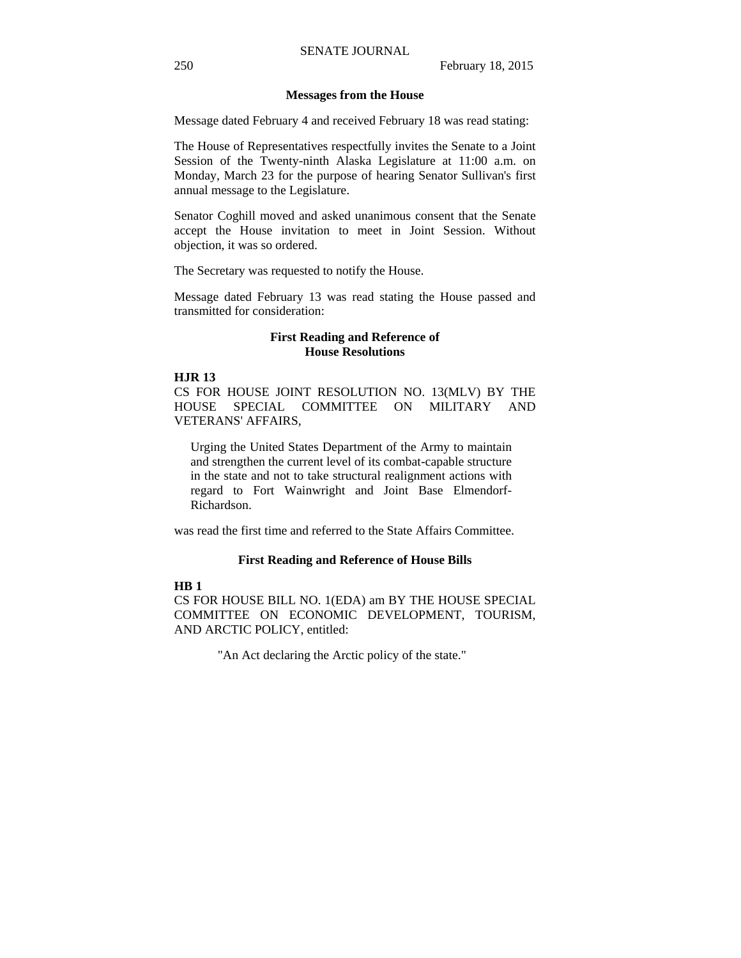#### **Messages from the House**

Message dated February 4 and received February 18 was read stating:

The House of Representatives respectfully invites the Senate to a Joint Session of the Twenty-ninth Alaska Legislature at 11:00 a.m. on Monday, March 23 for the purpose of hearing Senator Sullivan's first annual message to the Legislature.

Senator Coghill moved and asked unanimous consent that the Senate accept the House invitation to meet in Joint Session. Without objection, it was so ordered.

The Secretary was requested to notify the House.

Message dated February 13 was read stating the House passed and transmitted for consideration:

#### **First Reading and Reference of House Resolutions**

#### **HJR 13**

CS FOR HOUSE JOINT RESOLUTION NO. 13(MLV) BY THE HOUSE SPECIAL COMMITTEE ON MILITARY AND VETERANS' AFFAIRS,

Urging the United States Department of the Army to maintain and strengthen the current level of its combat-capable structure in the state and not to take structural realignment actions with regard to Fort Wainwright and Joint Base Elmendorf-Richardson.

was read the first time and referred to the State Affairs Committee.

#### **First Reading and Reference of House Bills**

### **HB 1**

CS FOR HOUSE BILL NO. 1(EDA) am BY THE HOUSE SPECIAL COMMITTEE ON ECONOMIC DEVELOPMENT, TOURISM, AND ARCTIC POLICY, entitled:

"An Act declaring the Arctic policy of the state."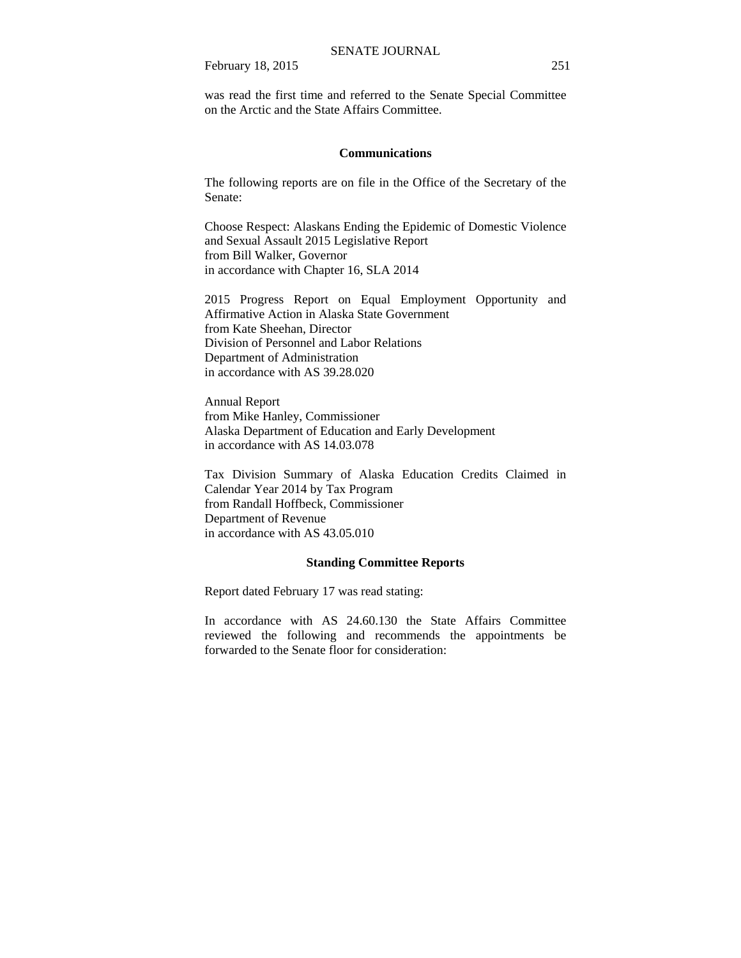was read the first time and referred to the Senate Special Committee on the Arctic and the State Affairs Committee.

### **Communications**

The following reports are on file in the Office of the Secretary of the Senate:

Choose Respect: Alaskans Ending the Epidemic of Domestic Violence and Sexual Assault 2015 Legislative Report from Bill Walker, Governor in accordance with Chapter 16, SLA 2014

2015 Progress Report on Equal Employment Opportunity and Affirmative Action in Alaska State Government from Kate Sheehan, Director Division of Personnel and Labor Relations Department of Administration in accordance with AS 39.28.020

Annual Report from Mike Hanley, Commissioner Alaska Department of Education and Early Development in accordance with AS 14.03.078

Tax Division Summary of Alaska Education Credits Claimed in Calendar Year 2014 by Tax Program from Randall Hoffbeck, Commissioner Department of Revenue in accordance with AS 43.05.010

#### **Standing Committee Reports**

Report dated February 17 was read stating:

In accordance with AS 24.60.130 the State Affairs Committee reviewed the following and recommends the appointments be forwarded to the Senate floor for consideration: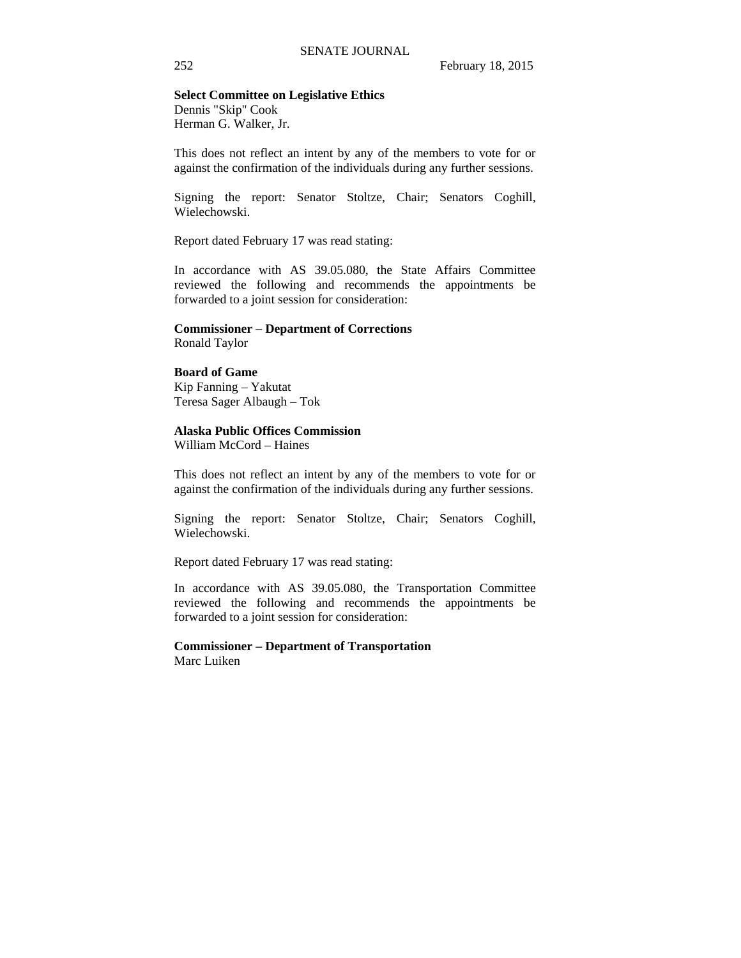#### **Select Committee on Legislative Ethics**

Dennis "Skip" Cook Herman G. Walker, Jr.

This does not reflect an intent by any of the members to vote for or against the confirmation of the individuals during any further sessions.

Signing the report: Senator Stoltze, Chair; Senators Coghill, Wielechowski.

Report dated February 17 was read stating:

In accordance with AS 39.05.080, the State Affairs Committee reviewed the following and recommends the appointments be forwarded to a joint session for consideration:

#### **Commissioner – Department of Corrections** Ronald Taylor

## **Board of Game**

Kip Fanning – Yakutat Teresa Sager Albaugh – Tok

#### **Alaska Public Offices Commission**

William McCord – Haines

This does not reflect an intent by any of the members to vote for or against the confirmation of the individuals during any further sessions.

Signing the report: Senator Stoltze, Chair; Senators Coghill, Wielechowski.

Report dated February 17 was read stating:

In accordance with AS 39.05.080, the Transportation Committee reviewed the following and recommends the appointments be forwarded to a joint session for consideration:

#### **Commissioner – Department of Transportation**  Marc Luiken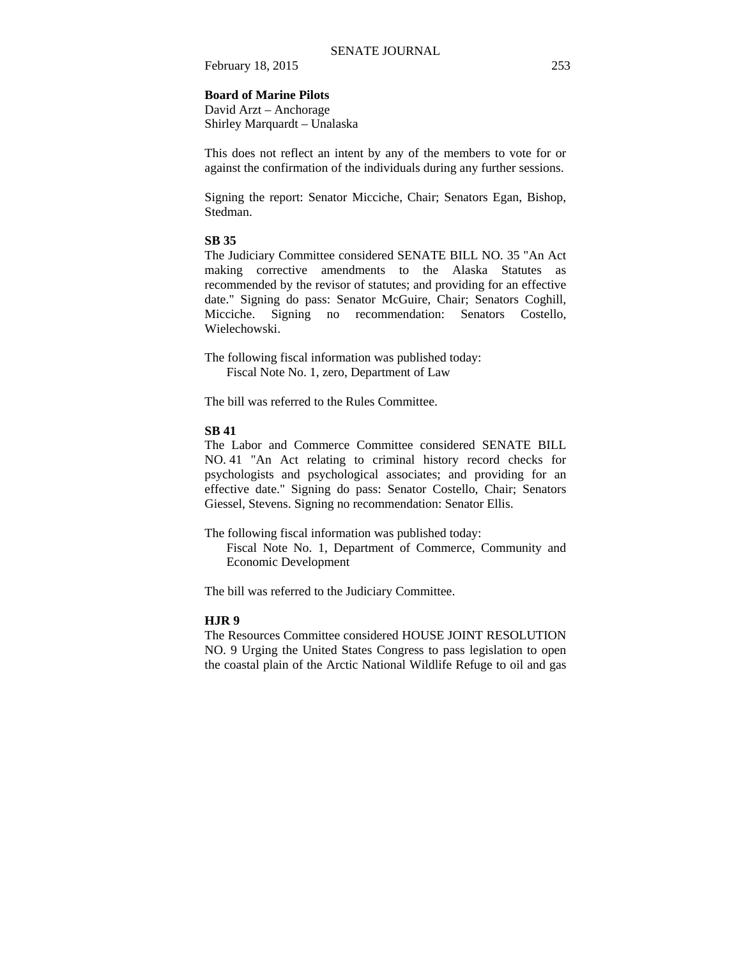#### **Board of Marine Pilots**

David Arzt – Anchorage Shirley Marquardt – Unalaska

This does not reflect an intent by any of the members to vote for or against the confirmation of the individuals during any further sessions.

Signing the report: Senator Micciche, Chair; Senators Egan, Bishop, Stedman.

## **SB 35**

The Judiciary Committee considered SENATE BILL NO. 35 "An Act making corrective amendments to the Alaska Statutes as recommended by the revisor of statutes; and providing for an effective date." Signing do pass: Senator McGuire, Chair; Senators Coghill, Micciche. Signing no recommendation: Senators Costello, Wielechowski.

The following fiscal information was published today: Fiscal Note No. 1, zero, Department of Law

The bill was referred to the Rules Committee.

#### **SB 41**

The Labor and Commerce Committee considered SENATE BILL NO. 41 "An Act relating to criminal history record checks for psychologists and psychological associates; and providing for an effective date." Signing do pass: Senator Costello, Chair; Senators Giessel, Stevens. Signing no recommendation: Senator Ellis.

The following fiscal information was published today:

Fiscal Note No. 1, Department of Commerce, Community and Economic Development

The bill was referred to the Judiciary Committee.

## **HJR 9**

The Resources Committee considered HOUSE JOINT RESOLUTION NO. 9 Urging the United States Congress to pass legislation to open the coastal plain of the Arctic National Wildlife Refuge to oil and gas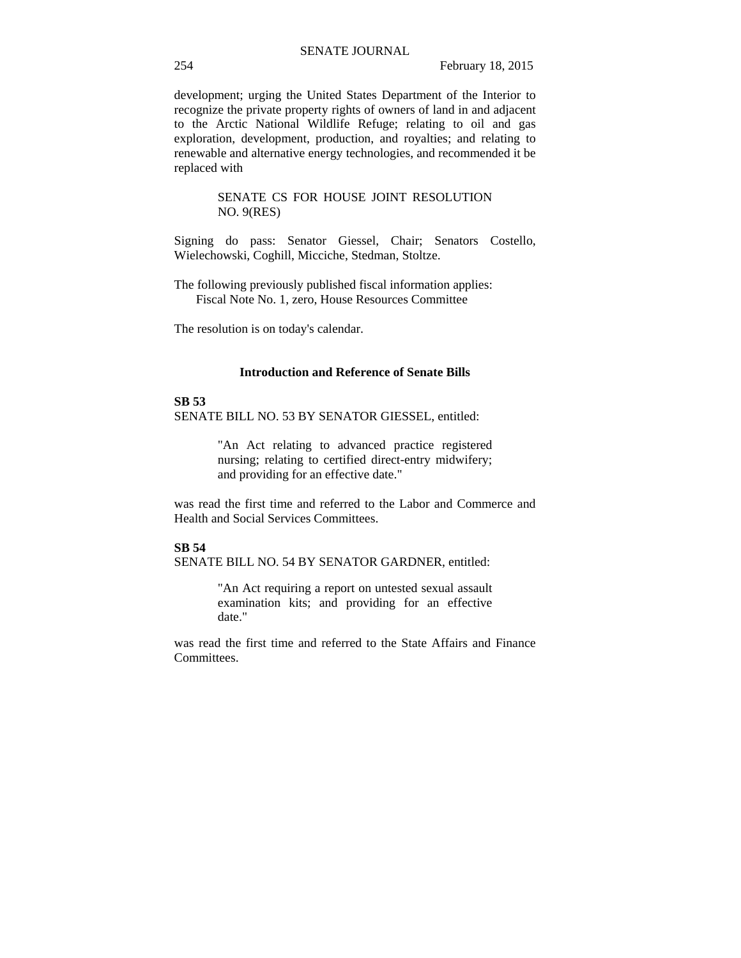development; urging the United States Department of the Interior to recognize the private property rights of owners of land in and adjacent to the Arctic National Wildlife Refuge; relating to oil and gas exploration, development, production, and royalties; and relating to renewable and alternative energy technologies, and recommended it be replaced with

#### SENATE CS FOR HOUSE JOINT RESOLUTION NO. 9(RES)

Signing do pass: Senator Giessel, Chair; Senators Costello, Wielechowski, Coghill, Micciche, Stedman, Stoltze.

The following previously published fiscal information applies: Fiscal Note No. 1, zero, House Resources Committee

The resolution is on today's calendar.

## **Introduction and Reference of Senate Bills**

## **SB 53**

SENATE BILL NO. 53 BY SENATOR GIESSEL, entitled:

"An Act relating to advanced practice registered nursing; relating to certified direct-entry midwifery; and providing for an effective date."

was read the first time and referred to the Labor and Commerce and Health and Social Services Committees.

## **SB 54**

SENATE BILL NO. 54 BY SENATOR GARDNER, entitled:

"An Act requiring a report on untested sexual assault examination kits; and providing for an effective date."

was read the first time and referred to the State Affairs and Finance Committees.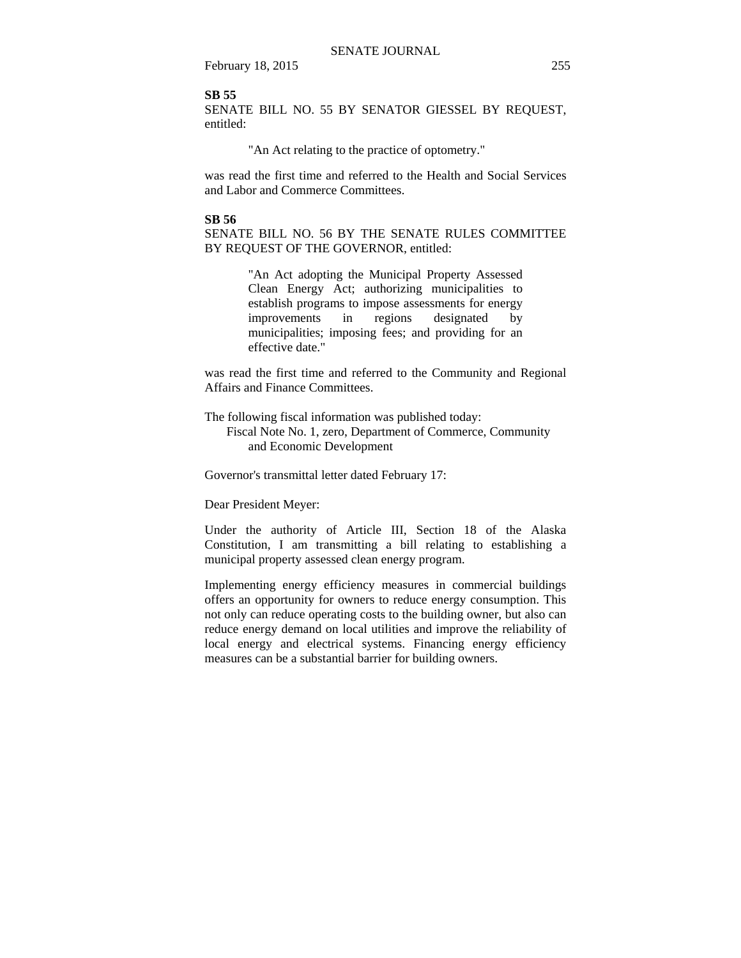#### **SB 55**

SENATE BILL NO. 55 BY SENATOR GIESSEL BY REQUEST, entitled:

"An Act relating to the practice of optometry."

was read the first time and referred to the Health and Social Services and Labor and Commerce Committees.

### **SB 56**

SENATE BILL NO. 56 BY THE SENATE RULES COMMITTEE BY REQUEST OF THE GOVERNOR, entitled:

> "An Act adopting the Municipal Property Assessed Clean Energy Act; authorizing municipalities to establish programs to impose assessments for energy improvements in regions designated by municipalities; imposing fees; and providing for an effective date."

was read the first time and referred to the Community and Regional Affairs and Finance Committees.

The following fiscal information was published today:

 Fiscal Note No. 1, zero, Department of Commerce, Community and Economic Development

Governor's transmittal letter dated February 17:

Dear President Meyer:

Under the authority of Article III, Section 18 of the Alaska Constitution, I am transmitting a bill relating to establishing a municipal property assessed clean energy program.

Implementing energy efficiency measures in commercial buildings offers an opportunity for owners to reduce energy consumption. This not only can reduce operating costs to the building owner, but also can reduce energy demand on local utilities and improve the reliability of local energy and electrical systems. Financing energy efficiency measures can be a substantial barrier for building owners.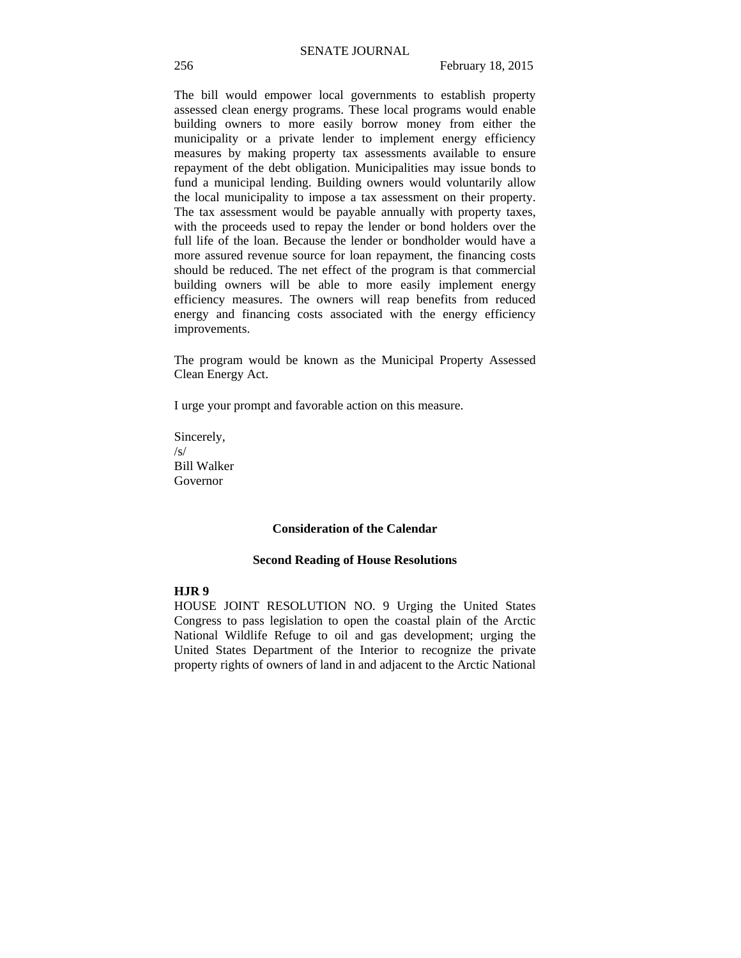The bill would empower local governments to establish property assessed clean energy programs. These local programs would enable building owners to more easily borrow money from either the municipality or a private lender to implement energy efficiency measures by making property tax assessments available to ensure repayment of the debt obligation. Municipalities may issue bonds to fund a municipal lending. Building owners would voluntarily allow the local municipality to impose a tax assessment on their property. The tax assessment would be payable annually with property taxes, with the proceeds used to repay the lender or bond holders over the full life of the loan. Because the lender or bondholder would have a more assured revenue source for loan repayment, the financing costs should be reduced. The net effect of the program is that commercial building owners will be able to more easily implement energy efficiency measures. The owners will reap benefits from reduced energy and financing costs associated with the energy efficiency improvements.

The program would be known as the Municipal Property Assessed Clean Energy Act.

I urge your prompt and favorable action on this measure.

Sincerely, /s/ Bill Walker Governor

#### **Consideration of the Calendar**

#### **Second Reading of House Resolutions**

## **HJR 9**

HOUSE JOINT RESOLUTION NO. 9 Urging the United States Congress to pass legislation to open the coastal plain of the Arctic National Wildlife Refuge to oil and gas development; urging the United States Department of the Interior to recognize the private property rights of owners of land in and adjacent to the Arctic National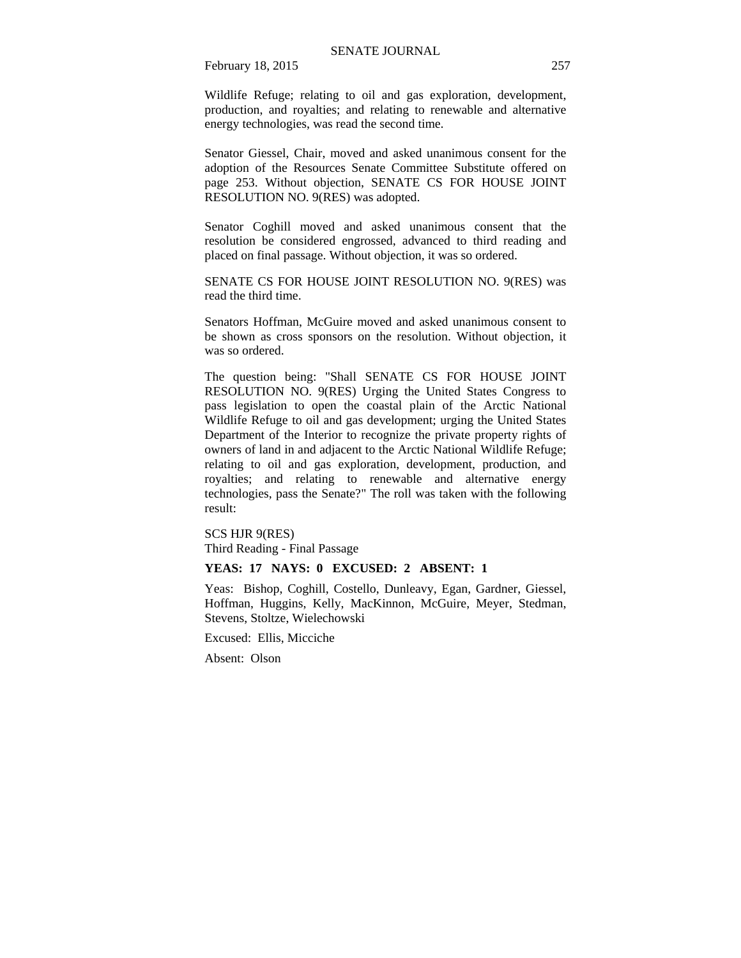Wildlife Refuge; relating to oil and gas exploration, development, production, and royalties; and relating to renewable and alternative energy technologies, was read the second time.

Senator Giessel, Chair, moved and asked unanimous consent for the adoption of the Resources Senate Committee Substitute offered on page 253. Without objection, SENATE CS FOR HOUSE JOINT RESOLUTION NO. 9(RES) was adopted.

Senator Coghill moved and asked unanimous consent that the resolution be considered engrossed, advanced to third reading and placed on final passage. Without objection, it was so ordered.

SENATE CS FOR HOUSE JOINT RESOLUTION NO. 9(RES) was read the third time.

Senators Hoffman, McGuire moved and asked unanimous consent to be shown as cross sponsors on the resolution. Without objection, it was so ordered.

The question being: "Shall SENATE CS FOR HOUSE JOINT RESOLUTION NO. 9(RES) Urging the United States Congress to pass legislation to open the coastal plain of the Arctic National Wildlife Refuge to oil and gas development; urging the United States Department of the Interior to recognize the private property rights of owners of land in and adjacent to the Arctic National Wildlife Refuge; relating to oil and gas exploration, development, production, and royalties; and relating to renewable and alternative energy technologies, pass the Senate?" The roll was taken with the following result:

SCS HJR 9(RES)

Third Reading - Final Passage

### **YEAS: 17 NAYS: 0 EXCUSED: 2 ABSENT: 1**

Yeas: Bishop, Coghill, Costello, Dunleavy, Egan, Gardner, Giessel, Hoffman, Huggins, Kelly, MacKinnon, McGuire, Meyer, Stedman, Stevens, Stoltze, Wielechowski

Excused: Ellis, Micciche

Absent: Olson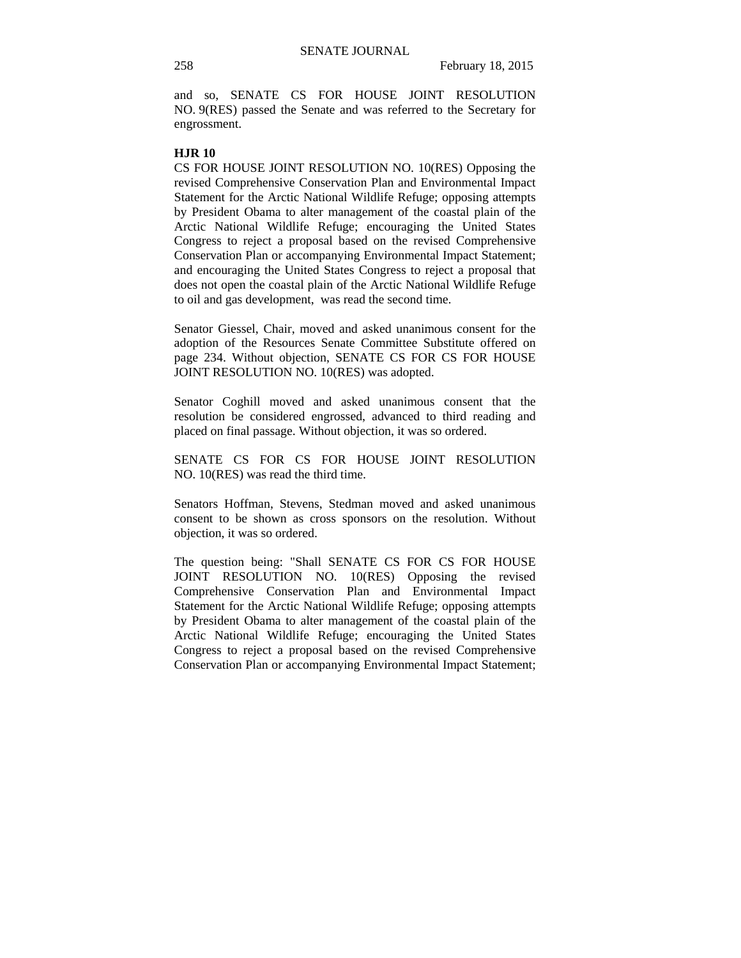and so, SENATE CS FOR HOUSE JOINT RESOLUTION NO. 9(RES) passed the Senate and was referred to the Secretary for engrossment.

#### **HJR 10**

CS FOR HOUSE JOINT RESOLUTION NO. 10(RES) Opposing the revised Comprehensive Conservation Plan and Environmental Impact Statement for the Arctic National Wildlife Refuge; opposing attempts by President Obama to alter management of the coastal plain of the Arctic National Wildlife Refuge; encouraging the United States Congress to reject a proposal based on the revised Comprehensive Conservation Plan or accompanying Environmental Impact Statement; and encouraging the United States Congress to reject a proposal that does not open the coastal plain of the Arctic National Wildlife Refuge to oil and gas development, was read the second time.

Senator Giessel, Chair, moved and asked unanimous consent for the adoption of the Resources Senate Committee Substitute offered on page 234. Without objection, SENATE CS FOR CS FOR HOUSE JOINT RESOLUTION NO. 10(RES) was adopted.

Senator Coghill moved and asked unanimous consent that the resolution be considered engrossed, advanced to third reading and placed on final passage. Without objection, it was so ordered.

SENATE CS FOR CS FOR HOUSE JOINT RESOLUTION NO. 10(RES) was read the third time.

Senators Hoffman, Stevens, Stedman moved and asked unanimous consent to be shown as cross sponsors on the resolution. Without objection, it was so ordered.

The question being: "Shall SENATE CS FOR CS FOR HOUSE JOINT RESOLUTION NO. 10(RES) Opposing the revised Comprehensive Conservation Plan and Environmental Impact Statement for the Arctic National Wildlife Refuge; opposing attempts by President Obama to alter management of the coastal plain of the Arctic National Wildlife Refuge; encouraging the United States Congress to reject a proposal based on the revised Comprehensive Conservation Plan or accompanying Environmental Impact Statement;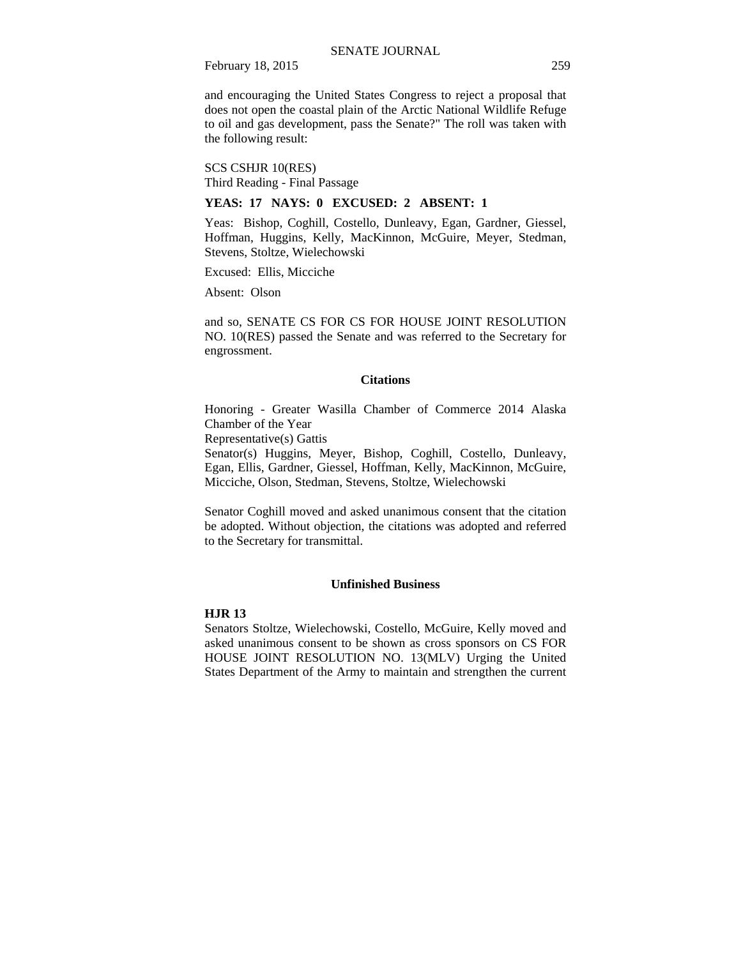and encouraging the United States Congress to reject a proposal that does not open the coastal plain of the Arctic National Wildlife Refuge to oil and gas development, pass the Senate?" The roll was taken with the following result:

SCS CSHJR 10(RES) Third Reading - Final Passage

#### **YEAS: 17 NAYS: 0 EXCUSED: 2 ABSENT: 1**

Yeas: Bishop, Coghill, Costello, Dunleavy, Egan, Gardner, Giessel, Hoffman, Huggins, Kelly, MacKinnon, McGuire, Meyer, Stedman, Stevens, Stoltze, Wielechowski

Excused: Ellis, Micciche

Absent: Olson

and so, SENATE CS FOR CS FOR HOUSE JOINT RESOLUTION NO. 10(RES) passed the Senate and was referred to the Secretary for engrossment.

#### **Citations**

Honoring - Greater Wasilla Chamber of Commerce 2014 Alaska Chamber of the Year

Representative(s) Gattis

Senator(s) Huggins, Meyer, Bishop, Coghill, Costello, Dunleavy, Egan, Ellis, Gardner, Giessel, Hoffman, Kelly, MacKinnon, McGuire, Micciche, Olson, Stedman, Stevens, Stoltze, Wielechowski

Senator Coghill moved and asked unanimous consent that the citation be adopted. Without objection, the citations was adopted and referred to the Secretary for transmittal.

#### **Unfinished Business**

#### **HJR 13**

Senators Stoltze, Wielechowski, Costello, McGuire, Kelly moved and asked unanimous consent to be shown as cross sponsors on CS FOR HOUSE JOINT RESOLUTION NO. 13(MLV) Urging the United States Department of the Army to maintain and strengthen the current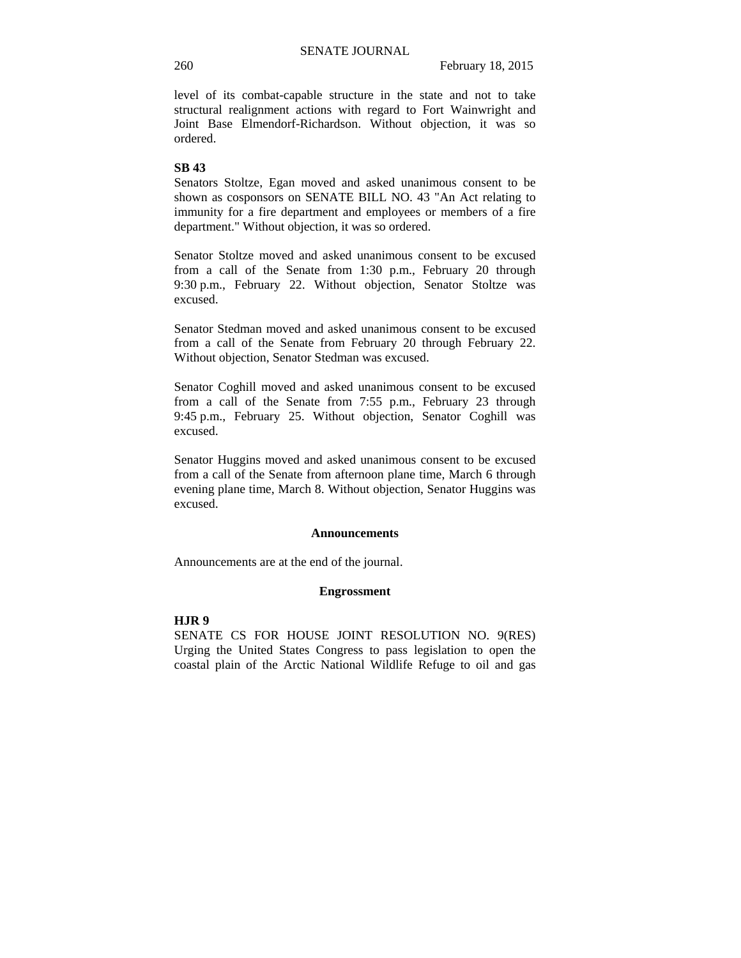level of its combat-capable structure in the state and not to take structural realignment actions with regard to Fort Wainwright and Joint Base Elmendorf-Richardson. Without objection, it was so ordered.

#### **SB 43**

Senators Stoltze, Egan moved and asked unanimous consent to be shown as cosponsors on SENATE BILL NO. 43 "An Act relating to immunity for a fire department and employees or members of a fire department." Without objection, it was so ordered.

Senator Stoltze moved and asked unanimous consent to be excused from a call of the Senate from 1:30 p.m., February 20 through 9:30 p.m., February 22. Without objection, Senator Stoltze was excused.

Senator Stedman moved and asked unanimous consent to be excused from a call of the Senate from February 20 through February 22. Without objection, Senator Stedman was excused.

Senator Coghill moved and asked unanimous consent to be excused from a call of the Senate from 7:55 p.m., February 23 through 9:45 p.m., February 25. Without objection, Senator Coghill was excused.

Senator Huggins moved and asked unanimous consent to be excused from a call of the Senate from afternoon plane time, March 6 through evening plane time, March 8. Without objection, Senator Huggins was excused.

#### **Announcements**

Announcements are at the end of the journal.

#### **Engrossment**

## **HJR 9**

SENATE CS FOR HOUSE JOINT RESOLUTION NO. 9(RES) Urging the United States Congress to pass legislation to open the coastal plain of the Arctic National Wildlife Refuge to oil and gas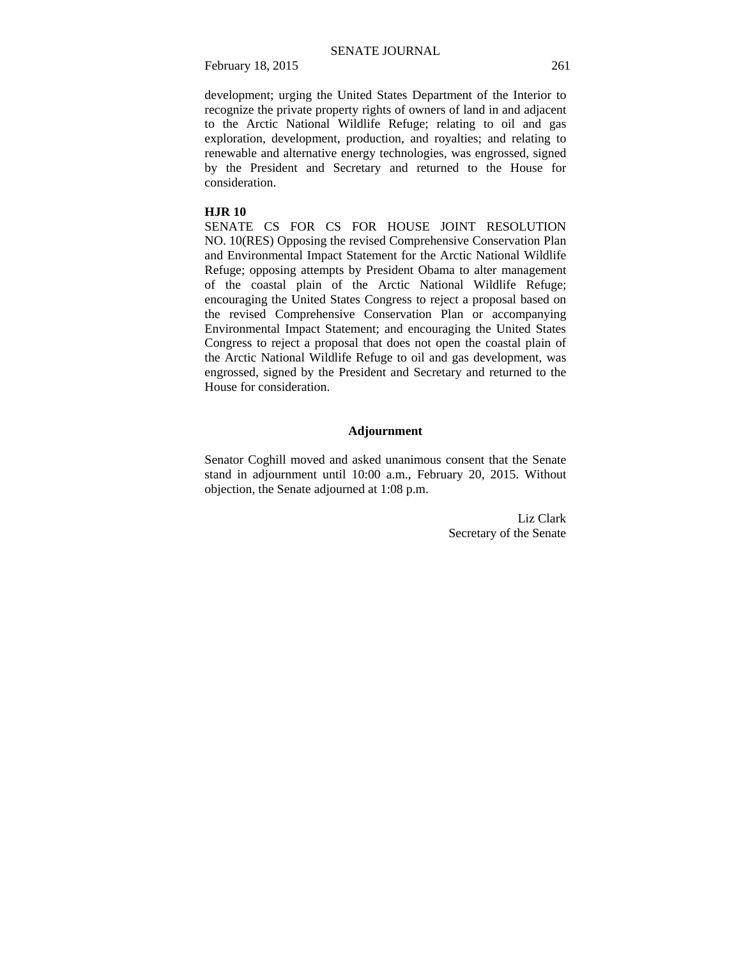development; urging the United States Department of the Interior to recognize the private property rights of owners of land in and adjacent to the Arctic National Wildlife Refuge; relating to oil and gas exploration, development, production, and royalties; and relating to renewable and alternative energy technologies, was engrossed, signed by the President and Secretary and returned to the House for consideration.

#### **HJR 10**

SENATE CS FOR CS FOR HOUSE JOINT RESOLUTION NO. 10(RES) Opposing the revised Comprehensive Conservation Plan and Environmental Impact Statement for the Arctic National Wildlife Refuge; opposing attempts by President Obama to alter management of the coastal plain of the Arctic National Wildlife Refuge; encouraging the United States Congress to reject a proposal based on the revised Comprehensive Conservation Plan or accompanying Environmental Impact Statement; and encouraging the United States Congress to reject a proposal that does not open the coastal plain of the Arctic National Wildlife Refuge to oil and gas development, was engrossed, signed by the President and Secretary and returned to the House for consideration.

#### **Adjournment**

Senator Coghill moved and asked unanimous consent that the Senate stand in adjournment until 10:00 a.m., February 20, 2015. Without objection, the Senate adjourned at 1:08 p.m.

> Liz Clark Secretary of the Senate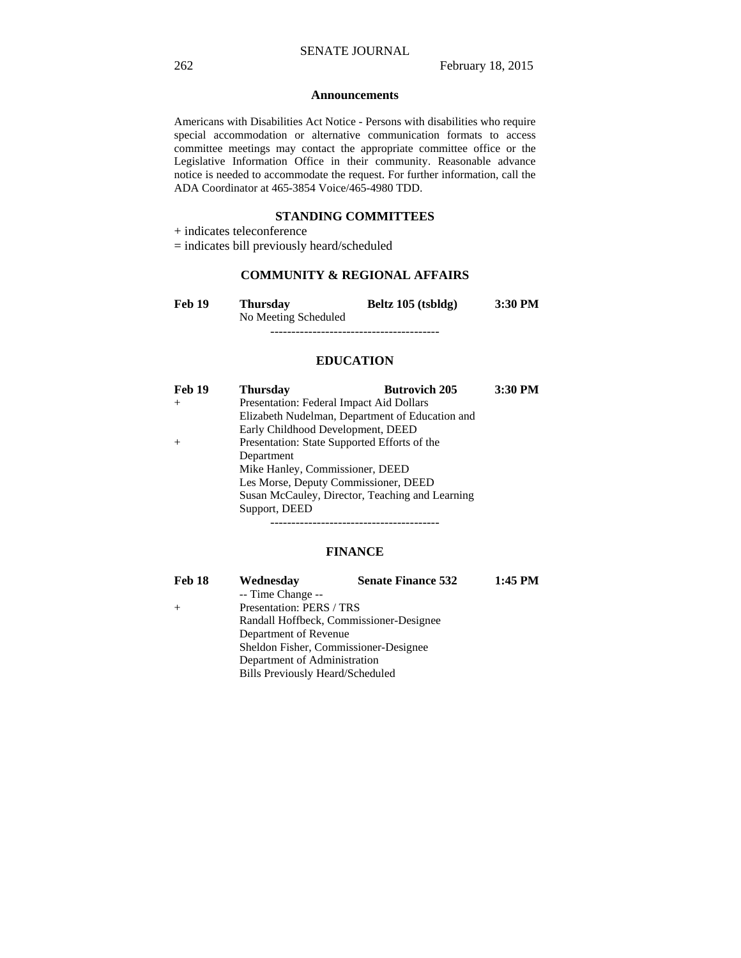#### **Announcements**

Americans with Disabilities Act Notice - Persons with disabilities who require special accommodation or alternative communication formats to access committee meetings may contact the appropriate committee office or the Legislative Information Office in their community. Reasonable advance notice is needed to accommodate the request. For further information, call the ADA Coordinator at 465-3854 Voice/465-4980 TDD.

#### **STANDING COMMITTEES**

+ indicates teleconference

= indicates bill previously heard/scheduled

## **COMMUNITY & REGIONAL AFFAIRS**

| <b>Feb 19</b> | Thursdav             | Beltz 105 (tsbldg) | $3:30$ PM |
|---------------|----------------------|--------------------|-----------|
|               | No Meeting Scheduled |                    |           |
|               |                      |                    |           |

#### **EDUCATION**

| Feb 19 | <b>Thursday</b>                              | <b>Butrovich 205</b>                            | 3:30 PM |
|--------|----------------------------------------------|-------------------------------------------------|---------|
| $+$    | Presentation: Federal Impact Aid Dollars     |                                                 |         |
|        |                                              | Elizabeth Nudelman, Department of Education and |         |
|        | Early Childhood Development, DEED            |                                                 |         |
|        | Presentation: State Supported Efforts of the |                                                 |         |
|        | Department                                   |                                                 |         |
|        | Mike Hanley, Commissioner, DEED              |                                                 |         |
|        | Les Morse, Deputy Commissioner, DEED         |                                                 |         |
|        |                                              | Susan McCauley, Director, Teaching and Learning |         |
|        | Support, DEED                                |                                                 |         |
|        |                                              |                                                 |         |

#### **FINANCE**

| Feb 18 | Wednesday                        | <b>Senate Finance 532</b>               | $1:45$ PM |
|--------|----------------------------------|-----------------------------------------|-----------|
|        | -- Time Change --                |                                         |           |
| $+$    | Presentation: PERS / TRS         |                                         |           |
|        |                                  | Randall Hoffbeck, Commissioner-Designee |           |
|        | Department of Revenue            |                                         |           |
|        |                                  | Sheldon Fisher, Commissioner-Designee   |           |
|        | Department of Administration     |                                         |           |
|        | Bills Previously Heard/Scheduled |                                         |           |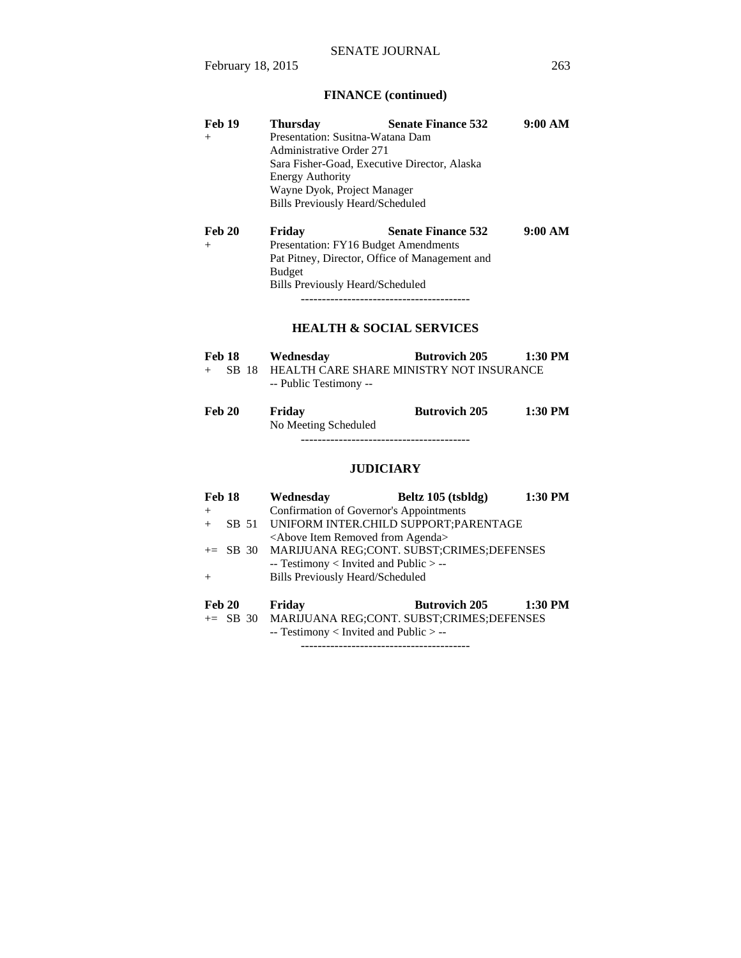# **FINANCE (continued)**

| <b>Feb 19</b><br>$^{+}$       | <b>Thursday</b><br>Presentation: Susitna-Watana Dam<br><b>Administrative Order 271</b><br>Sara Fisher-Goad, Executive Director, Alaska<br><b>Energy Authority</b><br>Wayne Dyok, Project Manager<br>Bills Previously Heard/Scheduled | <b>Senate Finance 532</b>                                        | 9:00 AM   |
|-------------------------------|--------------------------------------------------------------------------------------------------------------------------------------------------------------------------------------------------------------------------------------|------------------------------------------------------------------|-----------|
| <b>Feb 20</b><br>$+$          | Friday<br>Presentation: FY16 Budget Amendments<br>Pat Pitney, Director, Office of Management and<br><b>Budget</b><br>Bills Previously Heard/Scheduled                                                                                | <b>Senate Finance 532</b><br><b>HEALTH &amp; SOCIAL SERVICES</b> | 9:00 AM   |
| <b>Feb 18</b><br>SB 18<br>$+$ | Wednesday<br>-- Public Testimony --                                                                                                                                                                                                  | <b>Butrovich 205</b><br>HEALTH CARE SHARE MINISTRY NOT INSURANCE | $1:30$ PM |
| <b>Feb 20</b>                 | Friday<br>No Meeting Scheduled                                                                                                                                                                                                       | <b>Butrovich 205</b>                                             | 1:30 PM   |

----------------------------------------

# **JUDICIARY**

| Feb 18 | Wednesday                                            | Beltz 105 (tsbldg)   | 1:30 PM |
|--------|------------------------------------------------------|----------------------|---------|
| $+$    | Confirmation of Governor's Appointments              |                      |         |
|        | SB 51 UNIFORM INTER.CHILD SUPPORT:PARENTAGE          |                      |         |
|        | <above agenda="" from="" item="" removed=""></above> |                      |         |
|        | += SB 30 MARIJUANA REG;CONT. SUBST;CRIMES;DEFENSES   |                      |         |
|        | -- Testimony < Invited and Public > --               |                      |         |
| $^{+}$ | <b>Bills Previously Heard/Scheduled</b>              |                      |         |
| Feb 20 | Friday                                               | <b>Butrovich 205</b> | 1:30 PM |
|        | += SB 30 MARIJUANA REG:CONT. SUBST:CRIMES:DEFENSES   |                      |         |
|        | $-$ Testimony < Invited and Public $>$ $-$           |                      |         |
|        |                                                      |                      |         |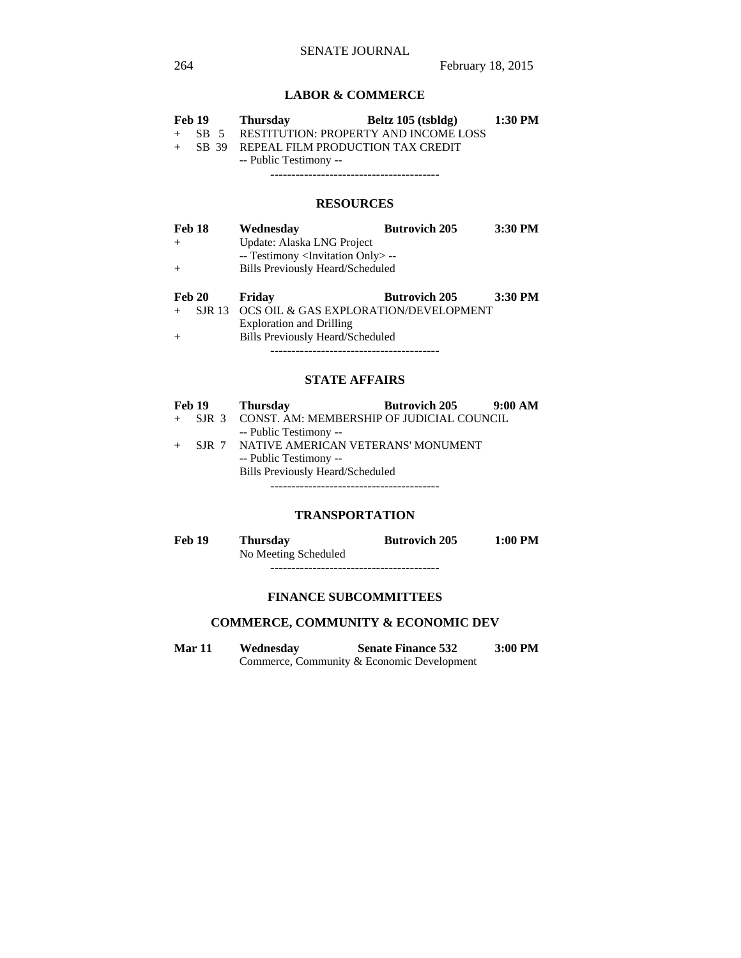## **LABOR & COMMERCE**

| Feb 19   |  | <b>Thursday</b>                           | Beltz 105 (tsbldg) | 1:30 PM |
|----------|--|-------------------------------------------|--------------------|---------|
| $+$ SB 5 |  | RESTITUTION: PROPERTY AND INCOME LOSS     |                    |         |
|          |  | + SB 39 REPEAL FILM PRODUCTION TAX CREDIT |                    |         |
|          |  | -- Public Testimony --                    |                    |         |

----------------------------------------

## **RESOURCES**

| Feb 18 |               | Wednesday                                         | <b>Butrovich 205</b> | 3:30 PM |
|--------|---------------|---------------------------------------------------|----------------------|---------|
| $+$    |               | Update: Alaska LNG Project                        |                      |         |
|        |               | -- Testimony <invitation only=""> --</invitation> |                      |         |
| $+$    |               | <b>Bills Previously Heard/Scheduled</b>           |                      |         |
| Feb 20 |               | Friday                                            | <b>Butrovich 205</b> | 3:30 PM |
|        | <b>SJR 13</b> | OCS OIL & GAS EXPLORATION/DEVELOPMENT             |                      |         |

 Exploration and Drilling + Bills Previously Heard/Scheduled ----------------------------------------

## **STATE AFFAIRS**

|     | <b>Feb 19</b> | <b>Thursday</b>                                 | <b>Butrovich 205</b> | 9:00 AM |
|-----|---------------|-------------------------------------------------|----------------------|---------|
| $+$ |               | SJR 3 CONST. AM: MEMBERSHIP OF JUDICIAL COUNCIL |                      |         |
|     |               | -- Public Testimony --                          |                      |         |
|     |               | SJR 7 NATIVE AMERICAN VETERANS' MONUMENT        |                      |         |
|     |               | -- Public Testimony --                          |                      |         |
|     |               | <b>Bills Previously Heard/Scheduled</b>         |                      |         |
|     |               |                                                 |                      |         |

## **TRANSPORTATION**

| Feb 19 | <b>Thursday</b>      | <b>Butrovich 205</b> | $1:00$ PM |
|--------|----------------------|----------------------|-----------|
|        | No Meeting Scheduled |                      |           |
|        |                      |                      |           |

#### **FINANCE SUBCOMMITTEES**

## **COMMERCE, COMMUNITY & ECONOMIC DEV**

**Mar 11 Wednesday Senate Finance 532 3:00 PM**  Commerce, Community & Economic Development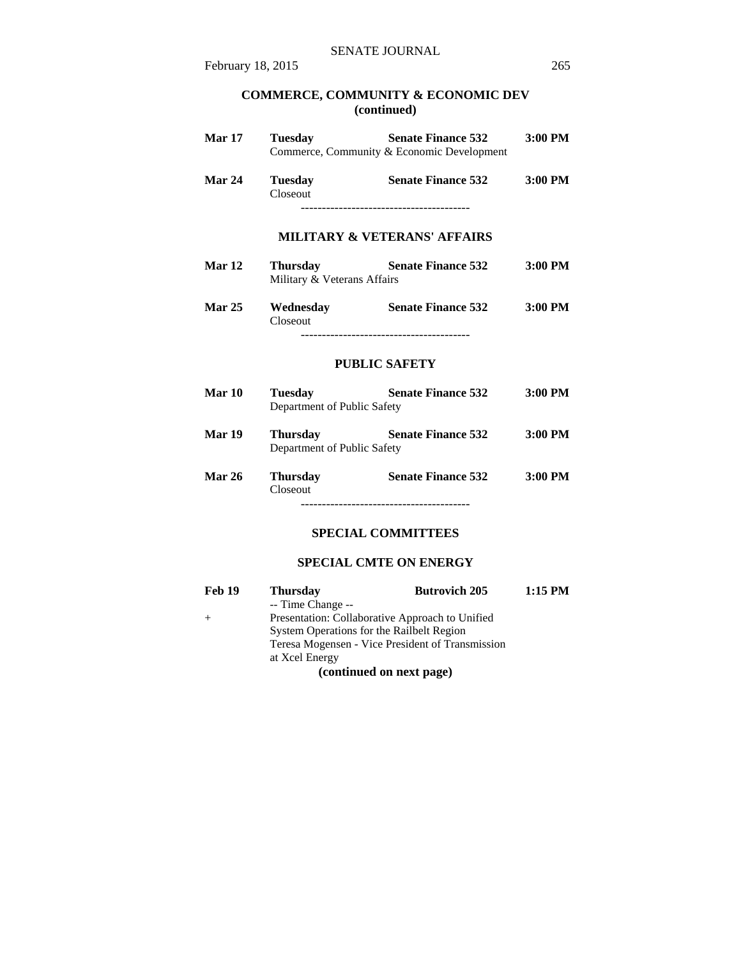#### **COMMERCE, COMMUNITY & ECONOMIC DEV (continued)**

| <b>Mar 17</b> | <b>Tuesday</b>                                 | <b>Senate Finance 532</b><br>Commerce, Community & Economic Development | 3:00 PM   |
|---------------|------------------------------------------------|-------------------------------------------------------------------------|-----------|
| <b>Mar 24</b> | <b>Tuesday</b><br>Closeout                     | <b>Senate Finance 532</b>                                               | $3:00$ PM |
|               |                                                | <b>MILITARY &amp; VETERANS' AFFAIRS</b>                                 |           |
| Mar 12        | <b>Thursday</b><br>Military & Veterans Affairs | Senate Finance 532 3:00 PM                                              |           |
| <b>Mar 25</b> | Closeout                                       | Wednesday Senate Finance 532 3:00 PM                                    |           |
|               |                                                | <b>PUBLIC SAFETY</b>                                                    |           |
| <b>Mar 10</b> | <b>Tuesday</b><br>Department of Public Safety  | <b>Senate Finance 532</b>                                               | $3:00$ PM |
| Mar 19        | Thursday<br>Department of Public Safety        | <b>Senate Finance 532</b>                                               | $3:00$ PM |
| <b>Mar 26</b> | <b>Thursday</b><br>Closeout                    | <b>Senate Finance 532</b>                                               | $3:00$ PM |
|               |                                                | <b>SPECIAL COMMITTEES</b>                                               |           |
|               |                                                | <b>SPECIAL CMTE ON ENERGY</b>                                           |           |

| <b>Feb 19</b> | <b>Thursday</b>                           | <b>Butrovich 205</b>                             | $1:15$ PM |  |
|---------------|-------------------------------------------|--------------------------------------------------|-----------|--|
|               | -- Time Change --                         |                                                  |           |  |
|               |                                           | Presentation: Collaborative Approach to Unified  |           |  |
|               | System Operations for the Railbelt Region |                                                  |           |  |
|               |                                           | Teresa Mogensen - Vice President of Transmission |           |  |
|               | at Xcel Energy                            |                                                  |           |  |
|               |                                           | (continued on next page)                         |           |  |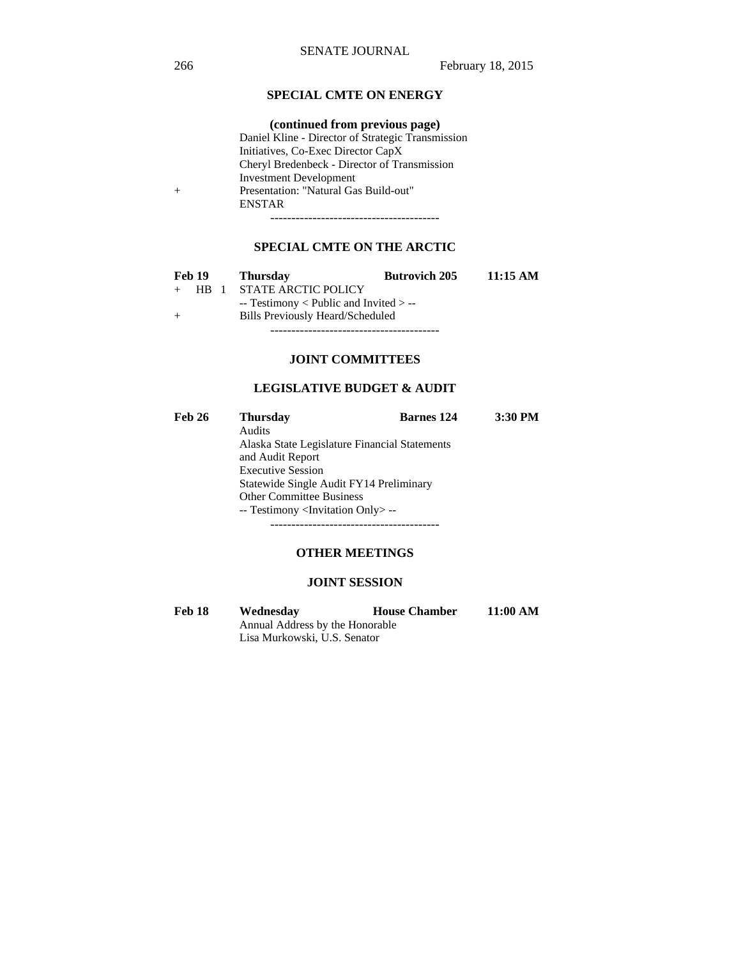## **SPECIAL CMTE ON ENERGY**

## **(continued from previous page)**

 Daniel Kline - Director of Strategic Transmission Initiatives, Co-Exec Director CapX Cheryl Bredenbeck - Director of Transmission Investment Development + Presentation: "Natural Gas Build-out" ENSTAR

----------------------------------------

## **SPECIAL CMTE ON THE ARCTIC**

|     | Feb 19   | <b>Thursday</b>                          | <b>Butrovich 205</b> | 11:15 AM |
|-----|----------|------------------------------------------|----------------------|----------|
|     | $+$ HR 1 | STATE ARCTIC POLICY                      |                      |          |
|     |          | $-$ Testimony < Public and Invited > $-$ |                      |          |
| $+$ |          | Bills Previously Heard/Scheduled         |                      |          |
|     |          |                                          |                      |          |

**JOINT COMMITTEES**

## **LEGISLATIVE BUDGET & AUDIT**

| <b>Feb 26</b> | <b>Thursday</b>                                   | <b>Barnes</b> 124 | 3:30 PM |  |  |
|---------------|---------------------------------------------------|-------------------|---------|--|--|
|               | Audits                                            |                   |         |  |  |
|               | Alaska State Legislature Financial Statements     |                   |         |  |  |
|               | and Audit Report                                  |                   |         |  |  |
|               | <b>Executive Session</b>                          |                   |         |  |  |
|               | Statewide Single Audit FY14 Preliminary           |                   |         |  |  |
|               | <b>Other Committee Business</b>                   |                   |         |  |  |
|               | -- Testimony <invitation only=""> --</invitation> |                   |         |  |  |
|               |                                                   |                   |         |  |  |

## **OTHER MEETINGS**

#### **JOINT SESSION**

| Feb 18 | Wednesday                       | <b>House Chamber</b> | 11:00 AM |  |
|--------|---------------------------------|----------------------|----------|--|
|        | Annual Address by the Honorable |                      |          |  |
|        | Lisa Murkowski, U.S. Senator    |                      |          |  |